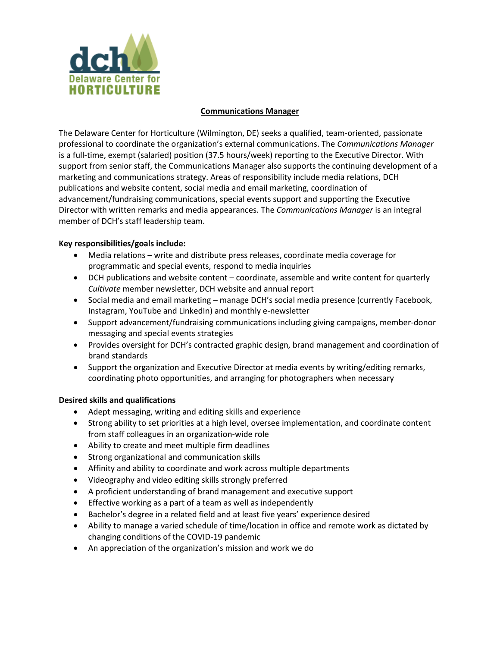

### **Communications Manager**

The Delaware Center for Horticulture (Wilmington, DE) seeks a qualified, team-oriented, passionate professional to coordinate the organization's external communications. The *Communications Manager*  is a full-time, exempt (salaried) position (37.5 hours/week) reporting to the Executive Director. With support from senior staff, the Communications Manager also supports the continuing development of a marketing and communications strategy. Areas of responsibility include media relations, DCH publications and website content, social media and email marketing, coordination of advancement/fundraising communications, special events support and supporting the Executive Director with written remarks and media appearances. The *Communications Manager* is an integral member of DCH's staff leadership team.

## **Key responsibilities/goals include:**

- Media relations write and distribute press releases, coordinate media coverage for programmatic and special events, respond to media inquiries
- DCH publications and website content coordinate, assemble and write content for quarterly *Cultivate* member newsletter, DCH website and annual report
- Social media and email marketing manage DCH's social media presence (currently Facebook, Instagram, YouTube and LinkedIn) and monthly e-newsletter
- Support advancement/fundraising communications including giving campaigns, member-donor messaging and special events strategies
- Provides oversight for DCH's contracted graphic design, brand management and coordination of brand standards
- Support the organization and Executive Director at media events by writing/editing remarks, coordinating photo opportunities, and arranging for photographers when necessary

# **Desired skills and qualifications**

- Adept messaging, writing and editing skills and experience
- Strong ability to set priorities at a high level, oversee implementation, and coordinate content from staff colleagues in an organization-wide role
- Ability to create and meet multiple firm deadlines
- Strong organizational and communication skills
- Affinity and ability to coordinate and work across multiple departments
- Videography and video editing skills strongly preferred
- A proficient understanding of brand management and executive support
- Effective working as a part of a team as well as independently
- Bachelor's degree in a related field and at least five years' experience desired
- Ability to manage a varied schedule of time/location in office and remote work as dictated by changing conditions of the COVID-19 pandemic
- An appreciation of the organization's mission and work we do